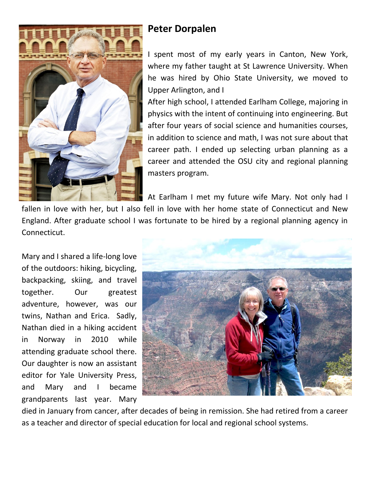

## **Peter Dorpalen**

I spent most of my early years in Canton, New York, where my father taught at St Lawrence University. When he was hired by Ohio State University, we moved to Upper Arlington, and I

After high school, I attended Earlham College, majoring in physics with the intent of continuing into engineering. But after four years of social science and humanities courses, in addition to science and math, I was not sure about that career path. I ended up selecting urban planning as a career and attended the OSU city and regional planning masters program.

At Earlham I met my future wife Mary. Not only had I

fallen in love with her, but I also fell in love with her home state of Connecticut and New England. After graduate school I was fortunate to be hired by a regional planning agency in Connecticut.

Mary and I shared a life-long love of the outdoors: hiking, bicycling, backpacking, skiing, and travel together. Our greatest adventure, however, was our twins, Nathan and Erica. Sadly, Nathan died in a hiking accident in Norway in 2010 while attending graduate school there. Our daughter is now an assistant editor for Yale University Press, and Mary and I became grandparents last year. Mary



died in January from cancer, after decades of being in remission. She had retired from a career as a teacher and director of special education for local and regional school systems.